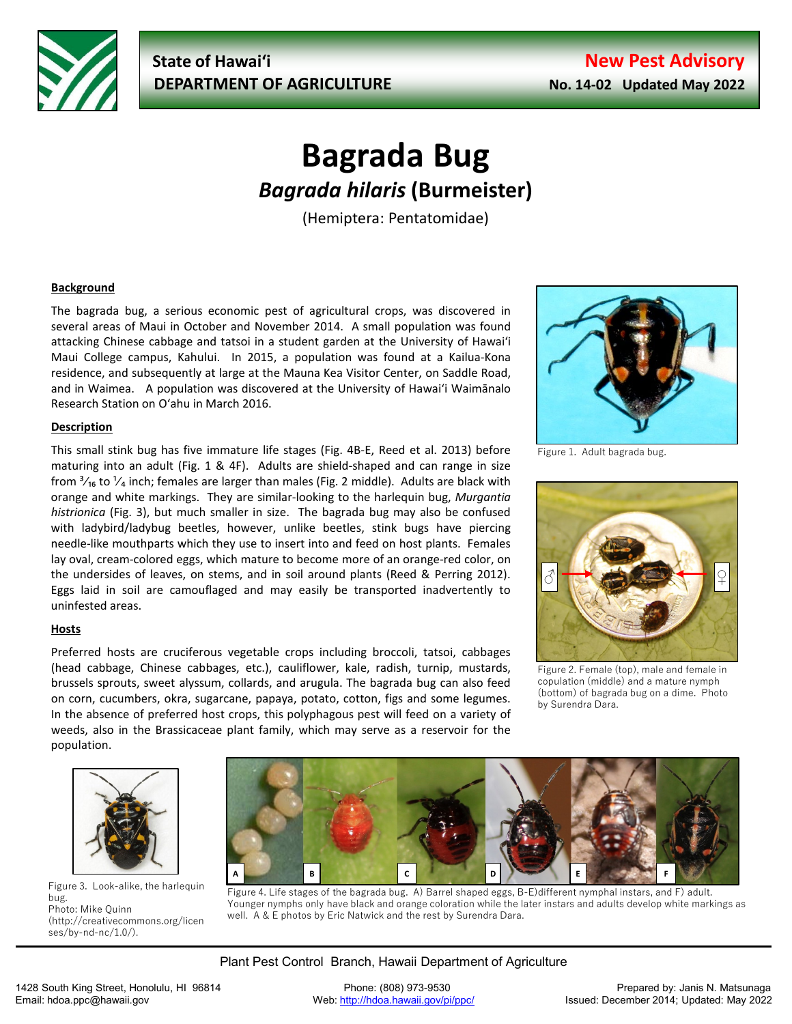

# **Bagrada Bug** *Bagrada hilaris* **(Burmeister)**

(Hemiptera: Pentatomidae)

# **Background**

The bagrada bug, a serious economic pest of agricultural crops, was discovered in several areas of Maui in October and November 2014. A small population was found attacking Chinese cabbage and tatsoi in a student garden at the University of Hawaiʻi Maui College campus, Kahului. In 2015, a population was found at a Kailua-Kona residence, and subsequently at large at the Mauna Kea Visitor Center, on Saddle Road, and in Waimea. A population was discovered at the University of Hawaiʻi Waimānalo Research Station on Oʻahu in March 2016.

## **Description**

This small stink bug has five immature life stages (Fig. 4B-E, Reed et al. 2013) before maturing into an adult (Fig. 1 & 4F). Adults are shield-shaped and can range in size from  $\frac{3}{16}$  to  $\frac{1}{4}$  inch; females are larger than males (Fig. 2 middle). Adults are black with orange and white markings. They are similar-looking to the harlequin bug, *Murgantia histrionica* (Fig. 3), but much smaller in size. The bagrada bug may also be confused with ladybird/ladybug beetles, however, unlike beetles, stink bugs have piercing needle-like mouthparts which they use to insert into and feed on host plants. Females lay oval, cream-colored eggs, which mature to become more of an orange-red color, on the undersides of leaves, on stems, and in soil around plants (Reed & Perring 2012). Eggs laid in soil are camouflaged and may easily be transported inadvertently to uninfested areas.

## **Hosts**

Preferred hosts are cruciferous vegetable crops including broccoli, tatsoi, cabbages (head cabbage, Chinese cabbages, etc.), cauliflower, kale, radish, turnip, mustards, brussels sprouts, sweet alyssum, collards, and arugula. The bagrada bug can also feed on corn, cucumbers, okra, sugarcane, papaya, potato, cotton, figs and some legumes. In the absence of preferred host crops, this polyphagous pest will feed on a variety of weeds, also in the Brassicaceae plant family, which may serve as a reservoir for the population.



Figure 1. Adult bagrada bug.



Figure 2. Female (top), male and female in copulation (middle) and a mature nymph (bottom) of bagrada bug on a dime. Photo by Surendra Dara.



Figure 3. Look-alike, the harlequin bug. Photo: Mike Quinn (http://creativecommons.org/licen ses/by-nd-nc/1.0/).



Figure 4. Life stages of the bagrada bug. A) Barrel shaped eggs, B-E)different nymphal instars, and F) adult. Younger nymphs only have black and orange coloration while the later instars and adults develop white markings as well. A & E photos by Eric Natwick and the rest by Surendra Dara.

Plant Pest Control Branch, Hawaii Department of Agriculture